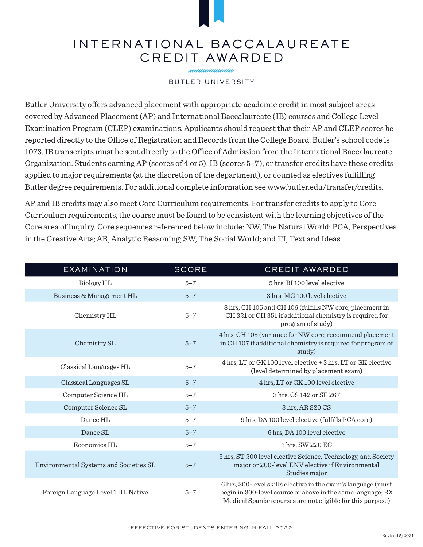## INTERNATIONAL BACCALAUREATE CREDIT AWARDED

nnnnnnnnnnn

## BUTLER UNIVERSITY

Butler University offers advanced placement with appropriate academic credit in most subject areas covered by Advanced Placement (AP) and International Baccalaureate (IB) courses and College Level Examination Program (CLEP) examinations. Applicants should request that their AP and CLEP scores be reported directly to the Office of Registration and Records from the College Board. Butler's school code is 1073. IB transcripts must be sent directly to the Office of Admission from the International Baccalaureate Organization. Students earning AP (scores of 4 or 5), IB (scores 5–7), or transfer credits have these credits applied to major requirements (at the discretion of the department), or counted as electives fulfilling Butler degree requirements. For additional complete information see www.butler.edu/transfer/credits.

AP and IB credits may also meet Core Curriculum requirements. For transfer credits to apply to Core Curriculum requirements, the course must be found to be consistent with the learning objectives of the Core area of inquiry. Core sequences referenced below include: NW, The Natural World; PCA, Perspectives in the Creative Arts; AR, Analytic Reasoning; SW, The Social World; and TI, Text and Ideas.

| <b>EXAMINATION</b>                     | <b>SCORE</b> | CREDIT AWARDED                                                                                                                                                                             |
|----------------------------------------|--------------|--------------------------------------------------------------------------------------------------------------------------------------------------------------------------------------------|
| Biology HL                             | $5 - 7$      | 5 hrs, BI 100 level elective                                                                                                                                                               |
| Business & Management HL               | $5 - 7$      | 3 hrs. MG 100 level elective                                                                                                                                                               |
| Chemistry HL                           | $5 - 7$      | 8 hrs, CH 105 and CH 106 (fulfills NW core; placement in<br>CH 321 or CH 351 if additional chemistry is required for<br>program of study)                                                  |
| Chemistry SL                           | $5 - 7$      | 4 hrs, CH 105 (variance for NW core; recommend placement<br>in CH 107 if additional chemistry is required for program of<br>study)                                                         |
| Classical Languages HL                 | $5 - 7$      | 4 hrs, LT or GK 100 level elective + 3 hrs, LT or GK elective<br>(level determined by placement exam)                                                                                      |
| Classical Languages SL                 | $5 - 7$      | 4 hrs, LT or GK 100 level elective                                                                                                                                                         |
| Computer Science HL                    | $5 - 7$      | 3 hrs, CS 142 or SE 267                                                                                                                                                                    |
| Computer Science SL                    | $5 - 7$      | 3 hrs, AR 220 CS                                                                                                                                                                           |
| Dance HL                               | $5 - 7$      | 9 hrs, DA 100 level elective (fulfills PCA core)                                                                                                                                           |
| Dance SL                               | $5 - 7$      | 6 hrs, DA 100 level elective                                                                                                                                                               |
| Economics HL                           | $5 - 7$      | 3 hrs, SW 220 EC                                                                                                                                                                           |
| Environmental Systems and Societies SL | $5 - 7$      | 3 hrs, ST 200 level elective Science, Technology, and Society<br>major or 200-level ENV elective if Environmental<br>Studies major                                                         |
| Foreign Language Level 1 HL Native     | $5 - 7$      | 6 hrs, 300-level skills elective in the exam's language (must<br>begin in 300-level course or above in the same language; RX<br>Medical Spanish courses are not eligible for this purpose) |